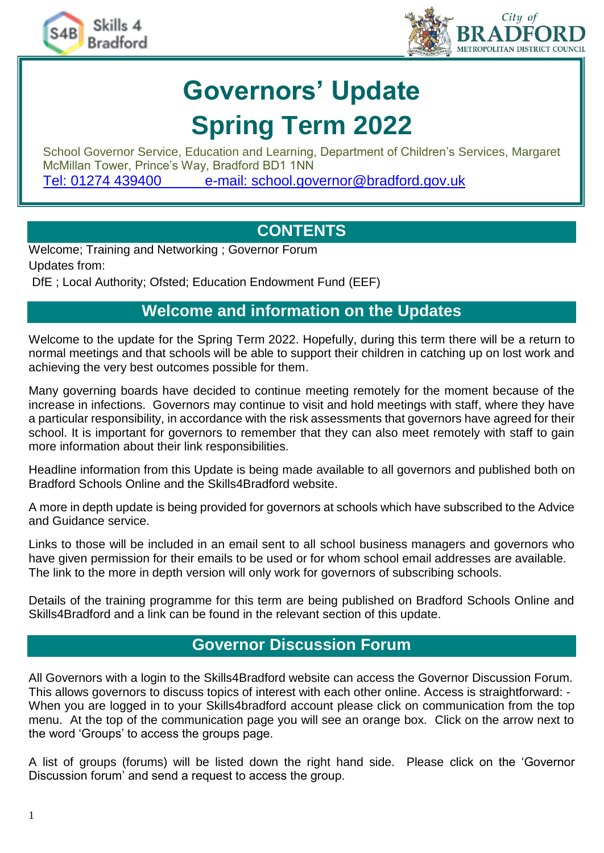



# **Governors' Update Spring Term 2022**

School Governor Service, Education and Learning, Department of Children's Services, Margaret McMillan Tower, Prince's Way, Bradford BD1 1NN [Tel: 01274 439400 e-mail: school.governor@bradford.gov.uk](mailto:school.governor@bradford.gov.uk)

# **CONTENTS**

Welcome; Training and Networking ; Governor Forum Updates from:

DfE ; Local Authority; Ofsted; Education Endowment Fund (EEF)

# **Welcome and information on the Updates**

Welcome to the update for the Spring Term 2022. Hopefully, during this term there will be a return to normal meetings and that schools will be able to support their children in catching up on lost work and achieving the very best outcomes possible for them.

Many governing boards have decided to continue meeting remotely for the moment because of the increase in infections. Governors may continue to visit and hold meetings with staff, where they have a particular responsibility, in accordance with the risk assessments that governors have agreed for their school. It is important for governors to remember that they can also meet remotely with staff to gain more information about their link responsibilities.

Headline information from this Update is being made available to all governors and published both on Bradford Schools Online and the Skills4Bradford website.

A more in depth update is being provided for governors at schools which have subscribed to the Advice and Guidance service.

Links to those will be included in an email sent to all school business managers and governors who have given permission for their emails to be used or for whom school email addresses are available. The link to the more in depth version will only work for governors of subscribing schools.

Details of the training programme for this term are being published on Bradford Schools Online and Skills4Bradford and a link can be found in the relevant section of this update.

# **Governor Discussion Forum**

All Governors with a login to the Skills4Bradford website can access the Governor Discussion Forum. This allows governors to discuss topics of interest with each other online. Access is straightforward: - When you are logged in to your Skills4bradford account please click on communication from the top menu. At the top of the communication page you will see an orange box. Click on the arrow next to the word 'Groups' to access the groups page.

A list of groups (forums) will be listed down the right hand side. Please click on the 'Governor Discussion forum' and send a request to access the group.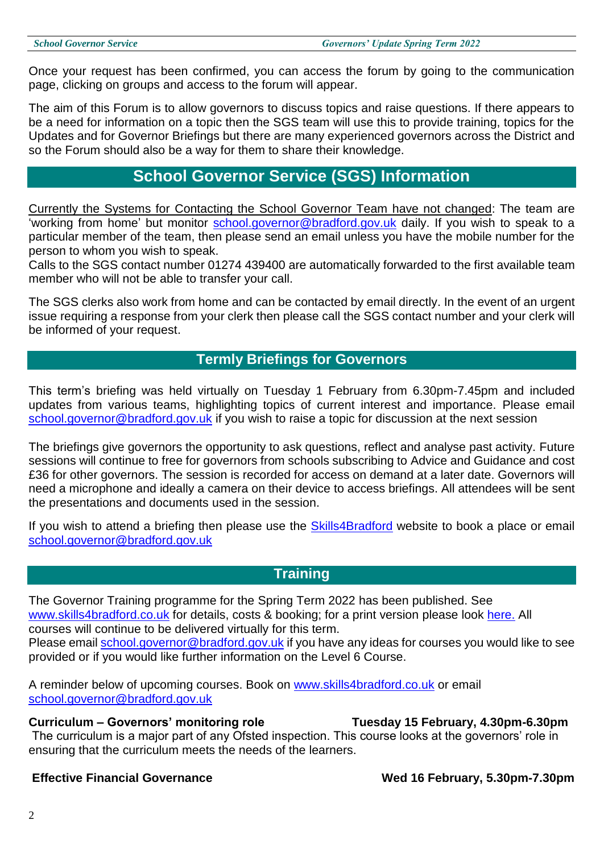Once your request has been confirmed, you can access the forum by going to the communication page, clicking on groups and access to the forum will appear.

The aim of this Forum is to allow governors to discuss topics and raise questions. If there appears to be a need for information on a topic then the SGS team will use this to provide training, topics for the Updates and for Governor Briefings but there are many experienced governors across the District and so the Forum should also be a way for them to share their knowledge.

# **School Governor Service (SGS) Information**

Currently the Systems for Contacting the School Governor Team have not changed: The team are 'working from home' but monitor [school.governor@bradford.gov.uk](mailto:school.governor@bradford.gov.uk) daily. If you wish to speak to a particular member of the team, then please send an email unless you have the mobile number for the person to whom you wish to speak.

Calls to the SGS contact number 01274 439400 are automatically forwarded to the first available team member who will not be able to transfer your call.

The SGS clerks also work from home and can be contacted by email directly. In the event of an urgent issue requiring a response from your clerk then please call the SGS contact number and your clerk will be informed of your request.

# **Termly Briefings for Governors**

This term's briefing was held virtually on Tuesday 1 February from 6.30pm-7.45pm and included updates from various teams, highlighting topics of current interest and importance. Please email [school.governor@bradford.gov.uk](mailto:school.governor@bradford.gov.uk) if you wish to raise a topic for discussion at the next session

The briefings give governors the opportunity to ask questions, reflect and analyse past activity. Future sessions will continue to free for governors from schools subscribing to Advice and Guidance and cost £36 for other governors. The session is recorded for access on demand at a later date. Governors will need a microphone and ideally a camera on their device to access briefings. All attendees will be sent the presentations and documents used in the session.

If you wish to attend a briefing then please use the [Skills4Bradford](https://skills4bradford.co.uk/) website to book a place or email [school.governor@bradford.gov.uk](mailto:school.governor@bradford.gov.uk)

# **Training**

The Governor Training programme for the Spring Term 2022 has been published. See [www.skills4bradford.co.uk](http://www.skills4bradford.co.uk/) for details, costs & booking; for a print version please look [here.](https://bso.bradford.gov.uk/content/governors/training) All courses will continue to be delivered virtually for this term. Please email [school.governor@bradford.gov.uk](mailto:school.governor@bradford.gov.uk) if you have any ideas for courses you would like to see provided or if you would like further information on the Level 6 Course.

A reminder below of upcoming courses. Book on [www.skills4bradford.co.uk](http://www.skills4bradford.co.uk/) or email [school.governor@bradford.gov.uk](mailto:school.governor@bradford.gov.uk)

**Curriculum – Governors' monitoring role Tuesday 15 February, 4.30pm-6.30pm** The curriculum is a major part of any Ofsted inspection. This course looks at the governors' role in ensuring that the curriculum meets the needs of the learners.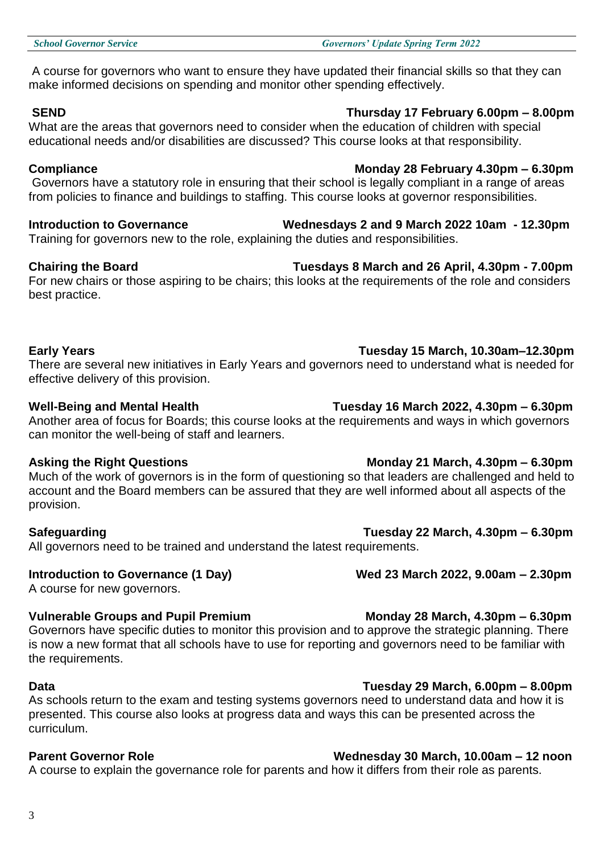A course for governors who want to ensure they have updated their financial skills so that they can make informed decisions on spending and monitor other spending effectively.

What are the areas that governors need to consider when the education of children with special educational needs and/or disabilities are discussed? This course looks at that responsibility.

Governors have a statutory role in ensuring that their school is legally compliant in a range of areas from policies to finance and buildings to staffing. This course looks at governor responsibilities.

Training for governors new to the role, explaining the duties and responsibilities.

For new chairs or those aspiring to be chairs; this looks at the requirements of the role and considers best practice.

# **Early Years Tuesday 15 March, 10.30am–12.30pm**

There are several new initiatives in Early Years and governors need to understand what is needed for effective delivery of this provision.

# **Well-Being and Mental Health Tuesday 16 March 2022, 4.30pm – 6.30pm**

Another area of focus for Boards; this course looks at the requirements and ways in which governors can monitor the well-being of staff and learners.

Much of the work of governors is in the form of questioning so that leaders are challenged and held to account and the Board members can be assured that they are well informed about all aspects of the provision.

All governors need to be trained and understand the latest requirements.

# Introduction to Governance (1 Day) Wed 23 March 2022, 9.00am – 2.30pm

A course for new governors.

# **Vulnerable Groups and Pupil Premium Monday 28 March, 4.30pm – 6.30pm**

Governors have specific duties to monitor this provision and to approve the strategic planning. There is now a new format that all schools have to use for reporting and governors need to be familiar with the requirements.

As schools return to the exam and testing systems governors need to understand data and how it is presented. This course also looks at progress data and ways this can be presented across the curriculum.

A course to explain the governance role for parents and how it differs from their role as parents.

# **SEND Thursday 17 February 6.00pm – 8.00pm**

# **Compliance Compliance Compliance Compliance Compliance Compliance Compliance Compliance Compliance Compliance Compliance Compliance Compliance Compliance Compliance Compliance Compliance Compliance Compliance Compliance C**

# **Introduction to Governance Wednesdays 2 and 9 March 2022 10am - 12.30pm**

# **Chairing the Board Tuesdays 8 March and 26 April, 4.30pm - 7.00pm**

# Asking the Right Questions **Monday 21 March, 4.30pm – 6.30pm**

### **Safeguarding Tuesday 22 March, 4.30pm – 6.30pm**

# **Data Tuesday 29 March, 6.00pm – 8.00pm**

# **Parent Governor Role Wednesday 30 March, 10.00am – 12 noon**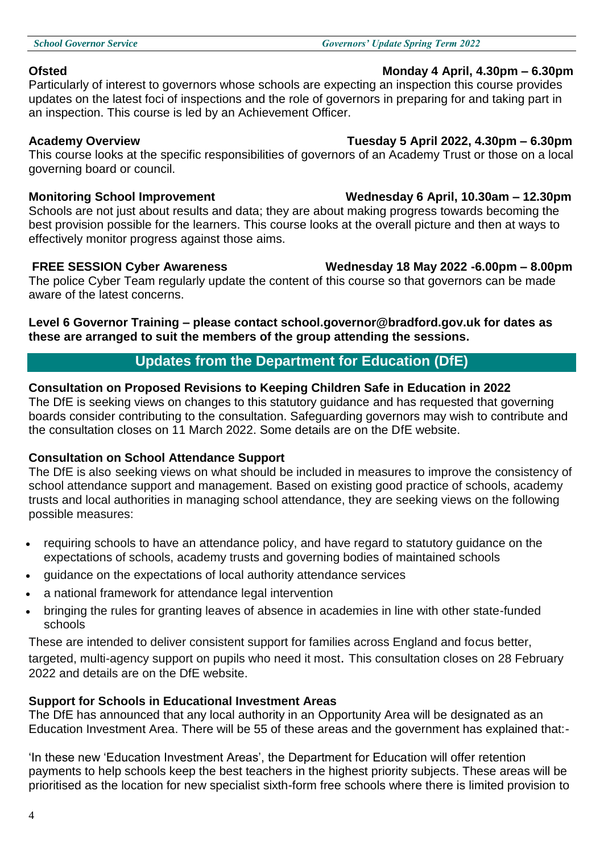Particularly of interest to governors whose schools are expecting an inspection this course provides updates on the latest foci of inspections and the role of governors in preparing for and taking part in an inspection. This course is led by an Achievement Officer.

This course looks at the specific responsibilities of governors of an Academy Trust or those on a local governing board or council.

### **Monitoring School Improvement Wednesday 6 April, 10.30am – 12.30pm**

Schools are not just about results and data; they are about making progress towards becoming the best provision possible for the learners. This course looks at the overall picture and then at ways to effectively monitor progress against those aims.

### **FREE SESSION Cyber Awareness Wednesday 18 May 2022 -6.00pm – 8.00pm**

The police Cyber Team regularly update the content of this course so that governors can be made aware of the latest concerns.

## **Level 6 Governor Training – please contact school.governor@bradford.gov.uk for dates as these are arranged to suit the members of the group attending the sessions.**

# **Updates from the Department for Education (DfE)**

# **Consultation on Proposed Revisions to Keeping Children Safe in Education in 2022**

The DfE is seeking views on changes to this statutory guidance and has requested that governing boards consider contributing to the consultation. Safeguarding governors may wish to contribute and the consultation closes on 11 March 2022. Some details are on the DfE website.

# **Consultation on School Attendance Support**

The DfE is also seeking views on what should be included in measures to improve the consistency of school attendance support and management. Based on existing good practice of schools, academy trusts and local authorities in managing school attendance, they are seeking views on the following possible measures:

- requiring schools to have an attendance policy, and have regard to statutory guidance on the expectations of schools, academy trusts and governing bodies of maintained schools
- guidance on the expectations of local authority attendance services
- a national framework for attendance legal intervention
- bringing the rules for granting leaves of absence in academies in line with other state-funded schools

These are intended to deliver consistent support for families across England and focus better, targeted, multi-agency support on pupils who need it most. This consultation closes on 28 February 2022 and details are on the DfE website.

# **Support for Schools in Educational Investment Areas**

The DfE has announced that any local authority in an Opportunity Area will be designated as an Education Investment Area. There will be 55 of these areas and the government has explained that:-

'In these new 'Education Investment Areas', the Department for Education will offer retention payments to help schools keep the best teachers in the highest priority subjects. These areas will be prioritised as the location for new specialist sixth-form free schools where there is limited provision to

# **Academy Overview Tuesday 5 April 2022, 4.30pm – 6.30pm**

# **Ofsted Monday 4 April, 4.30pm – 6.30pm**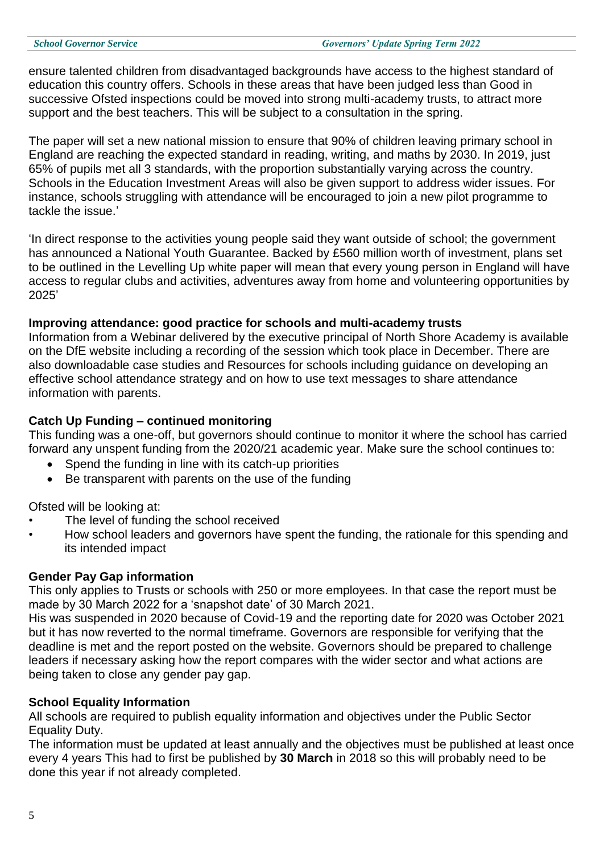ensure talented children from disadvantaged backgrounds have access to the highest standard of education this country offers. Schools in these areas that have been judged less than Good in successive Ofsted inspections could be moved into strong multi-academy trusts, to attract more support and the best teachers. This will be subject to a consultation in the spring.

The paper will set a new national mission to ensure that 90% of children leaving primary school in England are reaching the expected standard in reading, writing, and maths by 2030. In 2019, just 65% of pupils met all 3 standards, with the proportion substantially varying across the country. Schools in the Education Investment Areas will also be given support to address wider issues. For instance, schools struggling with attendance will be encouraged to join a new pilot programme to tackle the issue.'

'In direct response to the activities young people said they want outside of school; the government has announced a National Youth Guarantee. Backed by £560 million worth of investment, plans set to be outlined in the Levelling Up white paper will mean that every young person in England will have access to regular clubs and activities, adventures away from home and volunteering opportunities by 2025'

### **Improving attendance: good practice for schools and multi-academy trusts**

Information from a Webinar delivered by the executive principal of North Shore Academy is available on the DfE website including a recording of the session which took place in December. There are also downloadable case studies and Resources for schools including guidance on developing an effective school attendance strategy and on how to use text messages to share attendance information with parents.

### **Catch Up Funding – continued monitoring**

This funding was a one-off, but governors should continue to monitor it where the school has carried forward any unspent funding from the 2020/21 academic year. Make sure the school continues to:

- Spend the funding in line with its catch-up priorities
- Be transparent with parents on the use of the funding

Ofsted will be looking at:

- The level of funding the school received
- How school leaders and governors have spent the funding, the rationale for this spending and its intended impact

### **Gender Pay Gap information**

This only applies to Trusts or schools with 250 or more employees. In that case the report must be made by 30 March 2022 for a 'snapshot date' of 30 March 2021.

His was suspended in 2020 because of Covid-19 and the reporting date for 2020 was October 2021 but it has now reverted to the normal timeframe. Governors are responsible for verifying that the deadline is met and the report posted on the website. Governors should be prepared to challenge leaders if necessary asking how the report compares with the wider sector and what actions are being taken to close any gender pay gap.

### **School Equality Information**

All schools are required to publish equality information and objectives under the Public Sector Equality Duty.

The information must be updated at least annually and the objectives must be published at least once every 4 years This had to first be published by **30 March** in 2018 so this will probably need to be done this year if not already completed.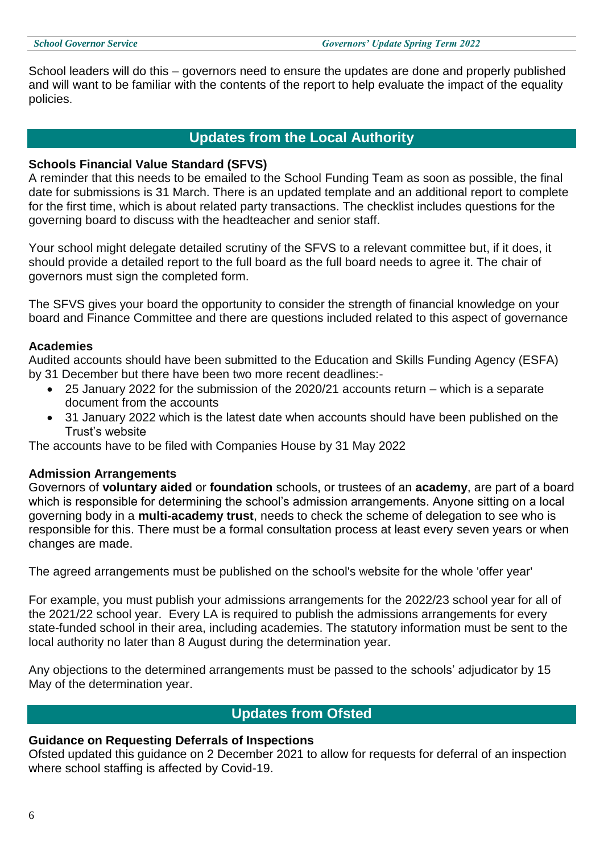School leaders will do this – governors need to ensure the updates are done and properly published and will want to be familiar with the contents of the report to help evaluate the impact of the equality policies.

# **Updates from the Local Authority**

### **Schools Financial Value Standard (SFVS)**

A reminder that this needs to be emailed to the School Funding Team as soon as possible, the final date for submissions is 31 March. There is an updated template and an additional report to complete for the first time, which is about related party transactions. The checklist includes questions for the governing board to discuss with the headteacher and senior staff.

Your school might delegate detailed scrutiny of the SFVS to a relevant committee but, if it does, it should provide a detailed report to the full board as the full board needs to agree it. The chair of governors must sign the completed form.

The SFVS gives your board the opportunity to consider the strength of financial knowledge on your board and Finance Committee and there are questions included related to this aspect of governance

### **Academies**

Audited accounts should have been submitted to the Education and Skills Funding Agency (ESFA) by 31 December but there have been two more recent deadlines:-

- 25 January 2022 for the submission of the 2020/21 accounts return which is a separate document from the accounts
- 31 January 2022 which is the latest date when accounts should have been published on the Trust's website

The accounts have to be filed with Companies House by 31 May 2022

### **Admission Arrangements**

Governors of **voluntary aided** or **foundation** schools, or trustees of an **academy**, are part of a board which is responsible for determining the school's admission arrangements. Anyone sitting on a local governing body in a **multi-academy trust**, needs to check the scheme of delegation to see who is responsible for this. There must be a formal consultation process at least every seven years or when changes are made.

The agreed arrangements must be published on the school's website for the whole 'offer year'

For example, you must publish your admissions arrangements for the 2022/23 school year for all of the 2021/22 school year. Every LA is required to publish the admissions arrangements for every state-funded school in their area, including academies. The statutory information must be sent to the local authority no later than 8 August during the determination year.

Any objections to the determined arrangements must be passed to the schools' adjudicator by 15 May of the determination year.

# **Updates from Ofsted**

### **Guidance on Requesting Deferrals of Inspections**

Ofsted updated this guidance on 2 December 2021 to allow for requests for deferral of an inspection where school staffing is affected by Covid-19.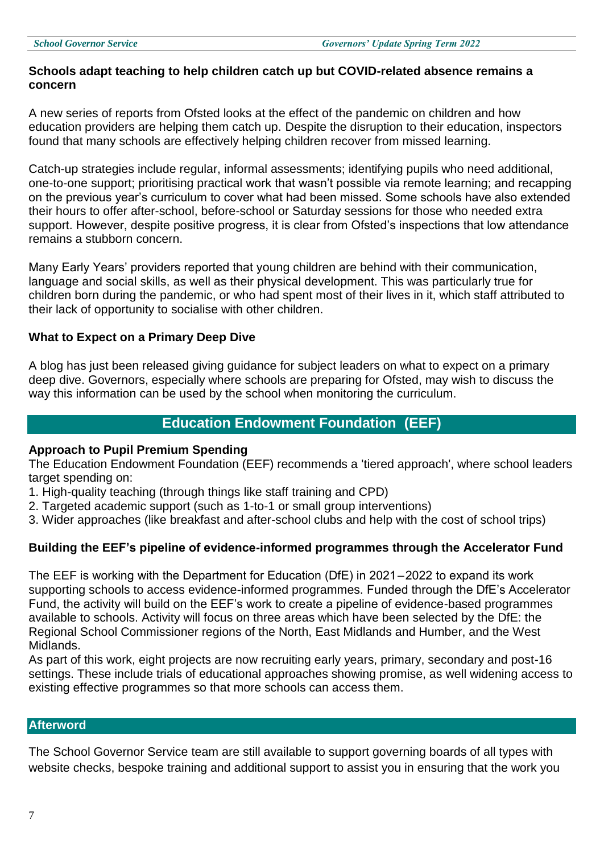### **Schools adapt teaching to help children catch up but COVID-related absence remains a concern**

A new series of reports from Ofsted looks at the effect of the pandemic on children and how education providers are helping them catch up. Despite the disruption to their education, inspectors found that many schools are effectively helping children recover from missed learning.

Catch-up strategies include regular, informal assessments; identifying pupils who need additional, one-to-one support; prioritising practical work that wasn't possible via remote learning; and recapping on the previous year's curriculum to cover what had been missed. Some schools have also extended their hours to offer after-school, before-school or Saturday sessions for those who needed extra support. However, despite positive progress, it is clear from Ofsted's inspections that low attendance remains a stubborn concern.

Many Early Years' providers reported that young children are behind with their communication, language and social skills, as well as their physical development. This was particularly true for children born during the pandemic, or who had spent most of their lives in it, which staff attributed to their lack of opportunity to socialise with other children.

## **What to Expect on a Primary Deep Dive**

A blog has just been released giving guidance for subject leaders on what to expect on a primary deep dive. Governors, especially where schools are preparing for Ofsted, may wish to discuss the way this information can be used by the school when monitoring the curriculum.

# **Education Endowment Foundation (EEF)**

### **Approach to Pupil Premium Spending**

The Education Endowment Foundation (EEF) recommends a 'tiered approach', where school leaders target spending on:

- 1. High-quality teaching (through things like staff training and CPD)
- 2. Targeted academic support (such as 1-to-1 or small group interventions)
- 3. Wider approaches (like breakfast and after-school clubs and help with the cost of school trips)

### **[Building the EEF's pipeline of evidence-informed programmes](https://educationendowmentfoundation.org.uk/support-for-schools/building-the-eefs-pipeline-of-evidence-informed-programmes-through-the-accelerator-fund?token=M_FSqjGmZXoGUoCCP767V69VzE4Vz7XK&mc_cid=5784d87d86&mc_eid=d6dd610115) through the Accelerator Fund**

The EEF is working with the Department for Education (DfE) in 2021–2022 to expand its work supporting schools to access evidence-informed programmes. Funded through the DfE's Accelerator Fund, the activity will build on the EEF's work to create a pipeline of evidence-based programmes available to schools. Activity will focus on three areas which have been selected by the DfE: the Regional School Commissioner regions of the North, East Midlands and Humber, and the West Midlands.

As part of this work, eight projects are now recruiting early years, primary, secondary and post-16 settings. These include trials of educational approaches showing promise, as well widening access to existing effective programmes so that more schools can access them.

### **Afterword**

The School Governor Service team are still available to support governing boards of all types with website checks, bespoke training and additional support to assist you in ensuring that the work you